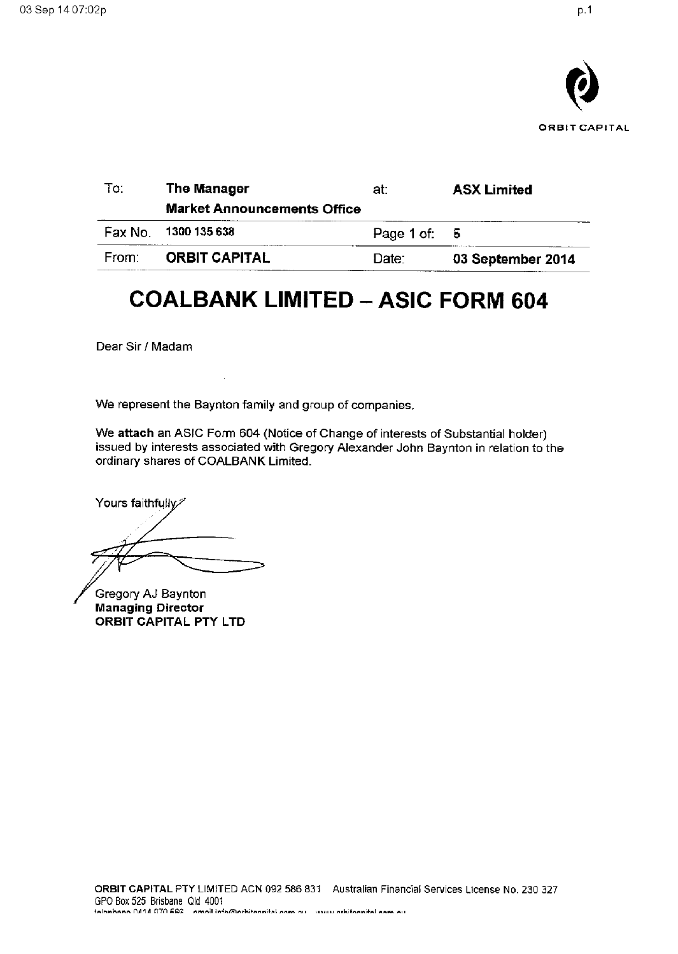

| To:   | The Manager                        | at:        | <b>ASX Limited</b> |  |
|-------|------------------------------------|------------|--------------------|--|
|       | <b>Market Announcements Office</b> |            |                    |  |
|       | Fax No. 1300 135 638               | Page 1 of: | - 5                |  |
| From: | <b>ORBIT CAPITAL</b>               | Date:      | 03 September 2014  |  |

# **COALBANK LIMITED - ASIC FORM 604**

Dear Sir / Madam

We represent the Baynton family and group of companies.

We attach an ASIC Form 604 (Notice of Change of interests of Substantial holder) issued by interests associated with Gregory Alexander John Baynton in relation to the ordinary shares of COALBANK Limited.

Yours faithfully

Gregory AJ Baynton **Managing Director** ORBIT CAPITAL PTY LTD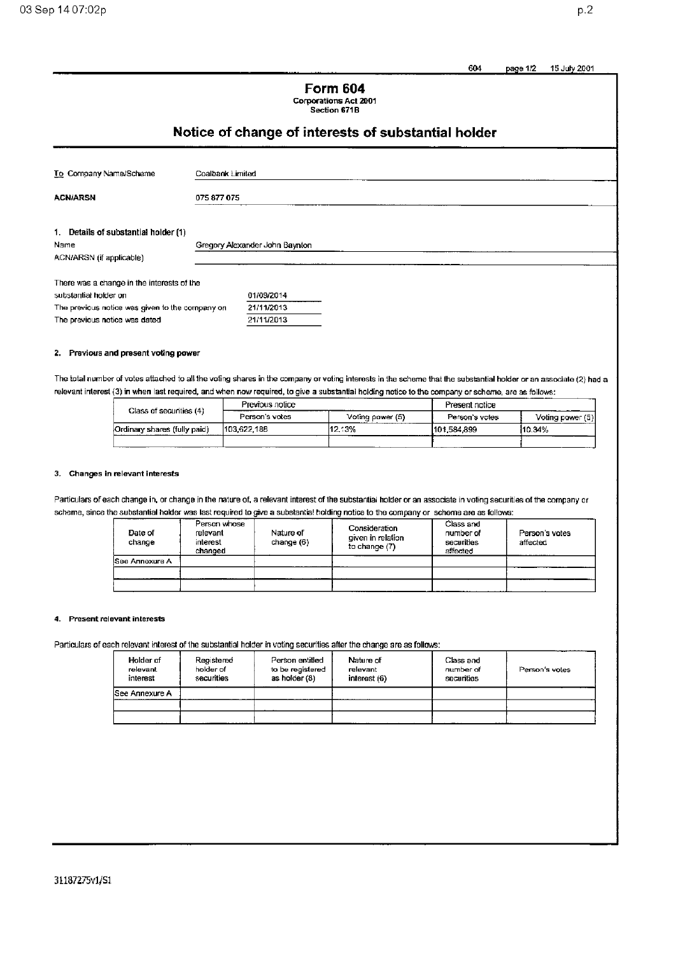| 604 | pace 1/2 | 15 July 2001 |
|-----|----------|--------------|
|     |          |              |

**Form 604** Corporations Act 2001<br>Section 671B

# Notice of change of interests of substantial holder

| To Company Name/Scheme                          | Coalbank Limited |                                |  |
|-------------------------------------------------|------------------|--------------------------------|--|
| <b>ACN/ARSN</b>                                 | 075 877 075      |                                |  |
| 1. Details of substantial holder (1)            |                  |                                |  |
| Name                                            |                  | Gregory Alexander John Baynton |  |
| ACN/ARSN (if applicable)                        |                  |                                |  |
| There was a change in the interests of the      |                  |                                |  |
| substantial holder on                           |                  | 01/09/2014                     |  |
| The previous notice was given to the company on |                  | 21/11/2013                     |  |
| The previous notice was dated                   |                  | 21/11/2013                     |  |

#### 2. Previous and present voting power

The total number of votes attached to all the voting shares in the company or voting interests in the scheme that the substantial holder or an associate (2) had a relevant interest (3) in when last required, and when now required, to give a substantial holding notice to the company or scheme, are as follows:

| Class of securities (4)      | Previous notice |                  | Present notice |                  |
|------------------------------|-----------------|------------------|----------------|------------------|
|                              | Person's votes  | Voting power (5) | Person's votes | Voting power (5) |
| Ordinary shares (fully paid) | 103.622.188     | 12.13%           | 101.584.899    | 10.34%           |
|                              |                 |                  |                |                  |

#### 3. Changes in relevant interests

Particulars of each change in, or change in the nature of, a relevant interest of the substantial holder or an associate in voting securities of the company or scheme, since the substantial holder was last required to give a substantial holding notice to the company or scheme are as follows:

| Date of<br>change     | Person whose<br>relevant<br>interest<br>changed | Nature of<br>change (6) | Consideration<br>given in relation<br>to change (7) | Class and<br>number of<br>securities<br>affected | Person's votes<br>affected |
|-----------------------|-------------------------------------------------|-------------------------|-----------------------------------------------------|--------------------------------------------------|----------------------------|
| <b>See Annexure A</b> |                                                 |                         |                                                     |                                                  |                            |
|                       |                                                 |                         |                                                     |                                                  |                            |
|                       |                                                 |                         |                                                     |                                                  |                            |

#### 4. Present relevant interests

Particulars of each relevant interest of the substantial holder in voting securities after the change are as follows:

| Holder of<br>relevant<br>interest | Registered<br>holder of<br>securities | Person entitled<br>to be registered<br>as holder (8) | Nature of<br>relevant<br>interest (6) | Class and<br>number of<br>securities | Person's votes |
|-----------------------------------|---------------------------------------|------------------------------------------------------|---------------------------------------|--------------------------------------|----------------|
| See Annexure A                    |                                       |                                                      |                                       |                                      |                |
|                                   |                                       |                                                      |                                       |                                      |                |
|                                   |                                       |                                                      |                                       |                                      |                |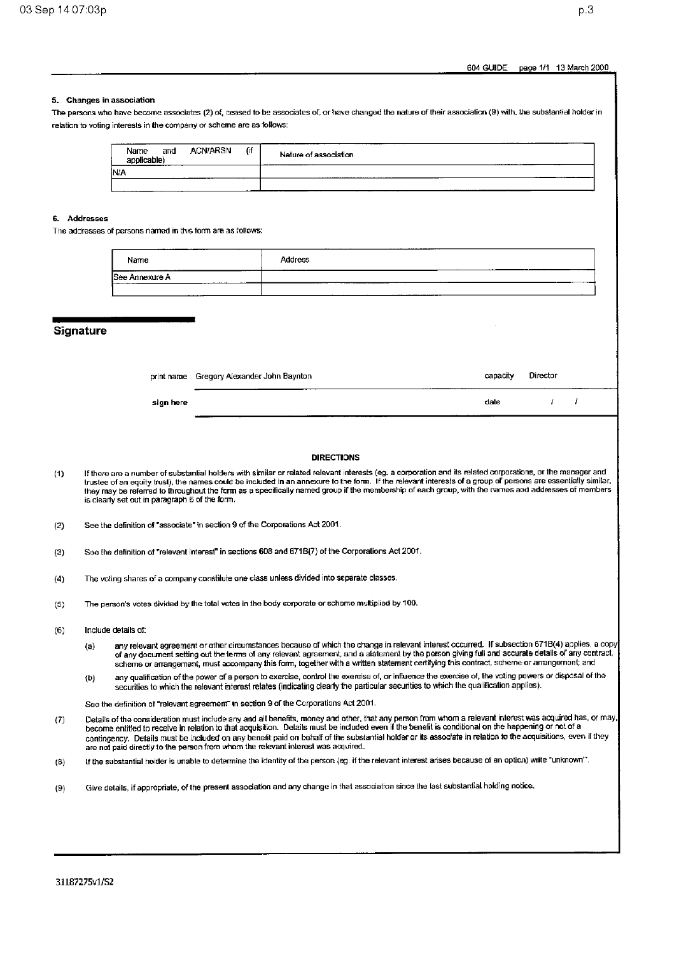#### 604 GUIDE page 1/1 13 March 2000

#### 5. Changes in association

The persons who have become associates (2) of, ceased to be associates of, or have changed the nature of their association (9) with, the substantial holder in relation to voting interests in the company or scheme are as follows:

| .<br><b>ACN/ARSN</b><br>Name<br>and<br>applicable) | ſif | -----<br>Nature of association<br>. <del>.</del> |
|----------------------------------------------------|-----|--------------------------------------------------|
| lnia                                               |     |                                                  |
|                                                    |     |                                                  |

#### 6. Addresses

The addresses of persons named in this form are as follows:

| --------<br>.<br>Name<br>a component component | Address<br>$\sim$ $\sim$ |
|------------------------------------------------|--------------------------|
| <b>See Annexure A</b><br>.                     | .<br>--<br>_             |
| ___                                            |                          |

### Signature

|           | print name Gregory Alexander John Baynton | capacity | Director |  |
|-----------|-------------------------------------------|----------|----------|--|
| sign here |                                           | date     |          |  |

#### **DIRECTIONS**

If there are a number of substantial holders with similar or related relevant interests (eg. a corporation and its related corporations, or the manager and<br>trustee of an equity trust), the names could be included in an ann  $(1)$ they may be referred to throughout the form as a specifically named group if the membership of each group, with the names and addresses of members is cleany set out in paragraph 6 of the form.

See the definition of "associate" in section 9 of the Corporations Act 2001.  $(2)$ 

- See the definition of "relevant interest" in sections 608 and 671B(7) of the Corporations Act 2001.  $(3)$
- $(4)$ The voting shares of a company constitute one class unless divided into separate classes.
- The person's votes divided by the total votes in the body corporate or scheme multiplied by 100.  $(5)$
- $(6)$ Include details of:
	- any relevant agreement or other circumstances because of which the change in relevant interest occurred. If subsection 671B(4) applies, a copy  $(a)$ of any document setting out the terms of any relevant agreement, and a statement by the person giving full and accurate details of any contract, scheme or arrangement, must accompany this form, together with a written statement certifying this contract, scheme or arrangement; and
	- any qualification of the power of a person to exercise, control the exercise of, or influence the exercise of, the voting powers or disposal of the  $(b)$ securities to which the relevant interest relates (indicating clearly the particular securities to which the qualification applies).

See the definition of "relevant agreement" in section 9 of the Corporations Act 2001.

- Details of the consideration must include any and all benefits, money and other, that any person from whom a relevant interest was acquired has, or may,<br>become entitled to receive in relation to that acquisition. Details m  $(7)$ contingency. Details must be included on any benefit paid on behalf of the substantial holder or its associate in relation to the acquisitions, even if they are not paid directly to the person from whom the relevant interest was acquired.
- if the substantial holder is unable to determine the identity of the person (eg. if the relevant interest arises because of an option) write "unknown".  $(3)$
- Give details, if appropriate, of the present association and any change in that association since the last substantial holding notice.  $(9)$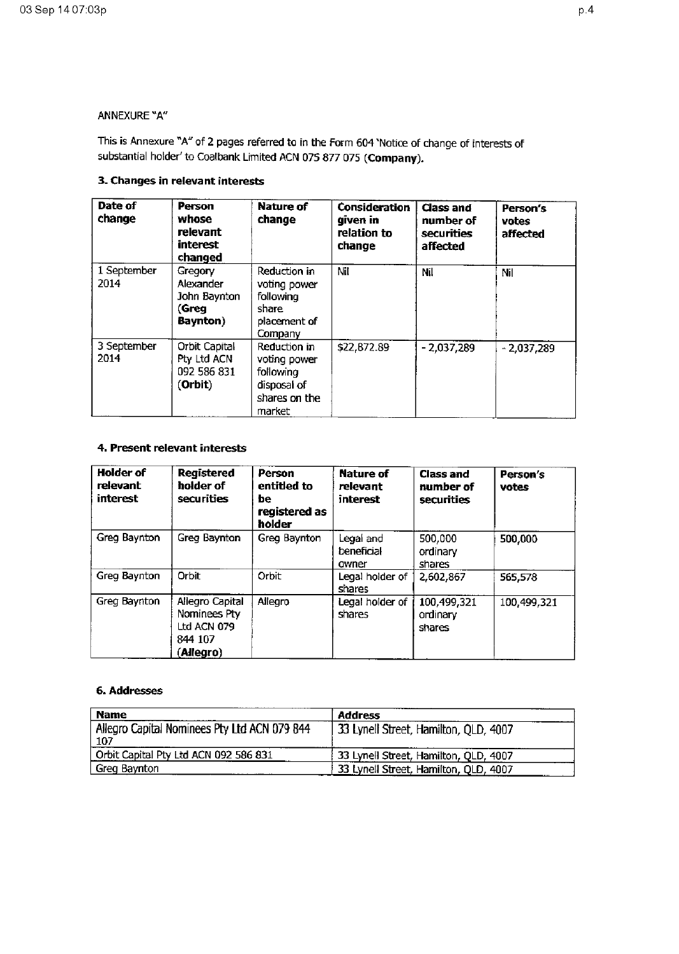# ANNEXURE "A"

This is Annexure "A" of 2 pages referred to in the Form 604 'Notice of change of interests of substantial holder' to Coalbank Limited ACN 075 877 075 (Company).

# 3. Changes in relevant interests

| Date of<br>change   | <b>Person</b><br>whose<br>relevant<br><i>interest</i><br>changed  | Nature of<br>change                                                                 | Consideration<br>qiven in<br>relation to<br>change | <b>Class and</b><br>number of<br><b>securities</b><br>affected | Person's<br>votes<br>affected |
|---------------------|-------------------------------------------------------------------|-------------------------------------------------------------------------------------|----------------------------------------------------|----------------------------------------------------------------|-------------------------------|
| 1 September<br>2014 | Gregory<br>Alexander<br>John Baynton<br>(Greg<br><b>Baynton</b> ) | Reduction in<br>voting power<br>following<br>share<br>placement of<br>Company       | Nil                                                | Nil                                                            | Nil                           |
| 3 September<br>2014 | Orbit Capital<br>Pty Ltd ACN<br>092 586 831<br>(Orbit)            | Reduction in<br>voting power<br>following<br>disposal of<br>shares on the<br>market | \$22,872.89                                        | $-2,037,289$                                                   | $-2,037,289$                  |

# 4. Present relevant interests

| <b>Holder of</b><br>relevant<br>interest | <b>Registered</b><br>holder of<br>securities                           | Person<br>entitled to<br>be.<br>registered as<br>holder | <b>Nature of</b><br>relevant<br>interest | Class and<br>number of<br><b>securities</b> | Person's<br>votes |
|------------------------------------------|------------------------------------------------------------------------|---------------------------------------------------------|------------------------------------------|---------------------------------------------|-------------------|
| Greg Baynton                             | Greg Baynton                                                           | Greg Baynton                                            | Legal and<br>beneficial<br>awner         | 500,000<br>ordinary<br>shares               | 500,000           |
| Greg Baynton                             | Orbit                                                                  | Orbit                                                   | Legal holder of<br>shares                | 2,602,867                                   | 565,578           |
| Greg Baynton                             | Allegro Capital<br>Nominees Pty<br>Ltd ACN 079<br>844 107<br>(Allegro) | Allegro                                                 | Legal holder of<br><b>shares</b>         | 100,499,321<br>ordinary<br>shares           | 100,499,321       |

# 6. Addresses

| <b>Name</b>                                         | <b>Address</b>                        |
|-----------------------------------------------------|---------------------------------------|
| Allegro Capital Nominees Pty Ltd ACN 079 844<br>107 | 33 Lynell Street, Hamilton, QLD, 4007 |
| Orbit Capital Pty Ltd ACN 092 586 831               | 33 Lynell Street, Hamilton, QLD, 4007 |
| Grea Baynton                                        | 33 Lynell Street, Hamilton, QLD, 4007 |